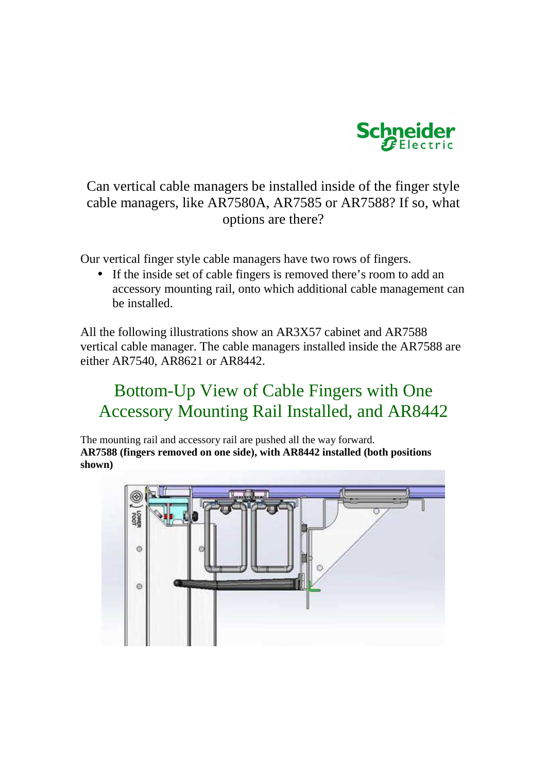

Can vertical cable managers be installed inside of the finger style cable managers, like AR7580A, AR7585 or AR7588? If so, what options are there?

Our vertical finger style cable managers have two rows of fingers.

• If the inside set of cable fingers is removed there's room to add an accessory mounting rail, onto which additional cable management can be installed.

All the following illustrations show an AR3X57 cabinet and AR7588 vertical cable manager. The cable managers installed inside the AR7588 are either AR7540, AR8621 or AR8442.

# Bottom-Up View of Cable Fingers with One Accessory Mounting Rail Installed, and AR8442

The mounting rail and accessory rail are pushed all the way forward. **AR7588 (fingers removed on one side), with AR8442 installed (both positions shown)** 

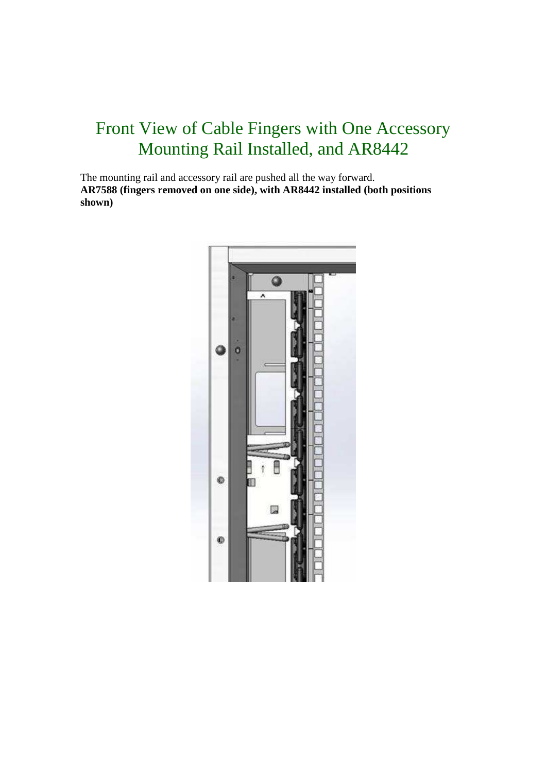# Front View of Cable Fingers with One Accessory Mounting Rail Installed, and AR8442

The mounting rail and accessory rail are pushed all the way forward. **AR7588 (fingers removed on one side), with AR8442 installed (both positions shown)** 

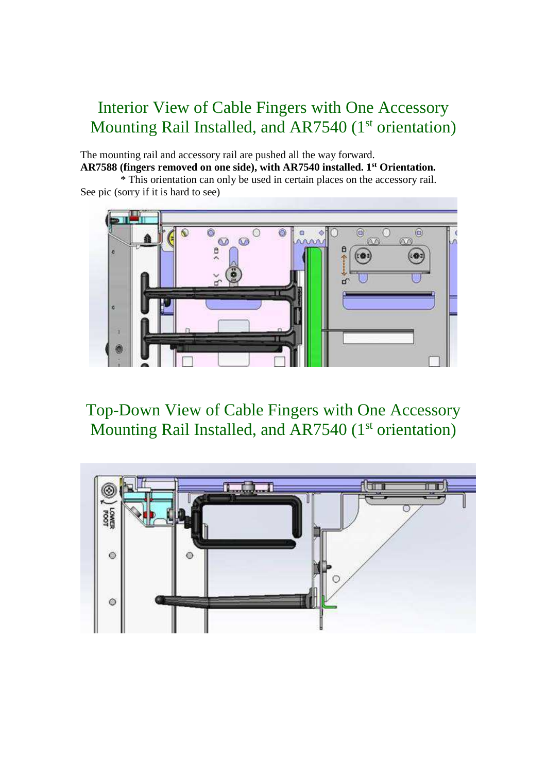# Interior View of Cable Fingers with One Accessory Mounting Rail Installed, and AR7540 (1<sup>st</sup> orientation)

The mounting rail and accessory rail are pushed all the way forward. **AR7588 (fingers removed on one side), with AR7540 installed. 1st Orientation.** 

 \* This orientation can only be used in certain places on the accessory rail. See pic (sorry if it is hard to see)



Top-Down View of Cable Fingers with One Accessory Mounting Rail Installed, and AR7540 (1<sup>st</sup> orientation)

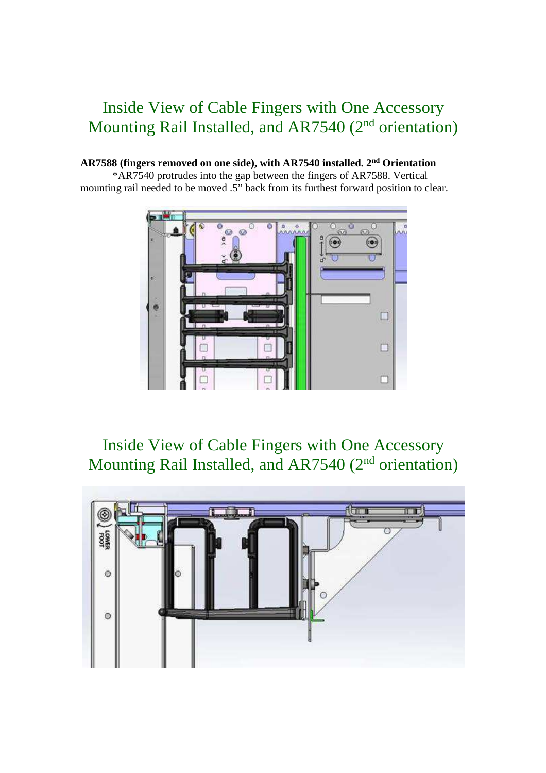## Inside View of Cable Fingers with One Accessory Mounting Rail Installed, and AR7540 (2<sup>nd</sup> orientation)

#### **AR7588 (fingers removed on one side), with AR7540 installed. 2nd Orientation**

\*AR7540 protrudes into the gap between the fingers of AR7588. Vertical mounting rail needed to be moved .5" back from its furthest forward position to clear.



Inside View of Cable Fingers with One Accessory Mounting Rail Installed, and AR7540 (2<sup>nd</sup> orientation)